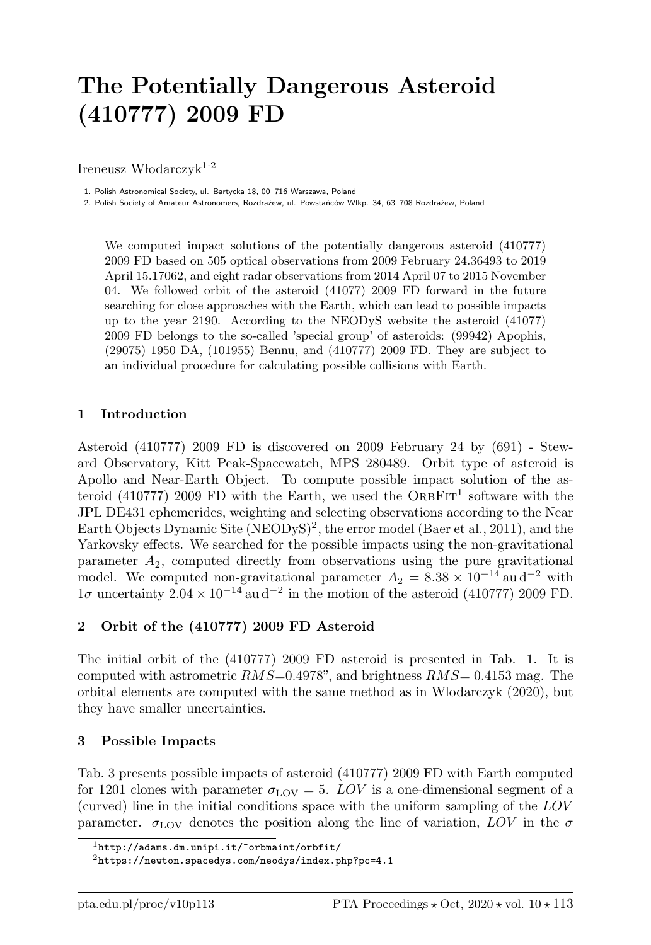# The Potentially Dangerous Asteroid (410777) 2009 FD

Ireneusz Włodarczyk<sup>1.2</sup>

1. Polish Astronomical Society, ul. Bartycka 18, 00–716 Warszawa, Poland

2. Polish Society of Amateur Astronomers, Rozdrażew, ul. Powstańców Wlkp. 34, 63–708 Rozdrażew, Poland

We computed impact solutions of the potentially dangerous asteroid (410777) 2009 FD based on 505 optical observations from 2009 February 24.36493 to 2019 April 15.17062, and eight radar observations from 2014 April 07 to 2015 November 04. We followed orbit of the asteroid (41077) 2009 FD forward in the future searching for close approaches with the Earth, which can lead to possible impacts up to the year 2190. According to the NEODyS website the asteroid (41077) 2009 FD belongs to the so-called 'special group' of asteroids: (99942) Apophis, (29075) 1950 DA, (101955) Bennu, and (410777) 2009 FD. They are subject to an individual procedure for calculating possible collisions with Earth.

#### 1 Introduction

Asteroid (410777) 2009 FD is discovered on 2009 February 24 by (691) - Steward Observatory, Kitt Peak-Spacewatch, MPS 280489. Orbit type of asteroid is Apollo and Near-Earth Object. To compute possible impact solution of the asteroid (410777) 2009 FD with the Earth, we used the  $ORBFT<sup>1</sup>$  software with the JPL DE431 ephemerides, weighting and selecting observations according to the Near Earth Objects Dynamic Site (NEODyS)<sup>2</sup>, the error model (Baer et al., 2011), and the Yarkovsky effects. We searched for the possible impacts using the non-gravitational parameter  $A_2$ , computed directly from observations using the pure gravitational model. We computed non-gravitational parameter  $A_2 = 8.38 \times 10^{-14}$  au d<sup>-2</sup> with 1σ uncertainty  $2.04 \times 10^{-14}$  au d<sup>-2</sup> in the motion of the asteroid (410777) 2009 FD.

## 2 Orbit of the (410777) 2009 FD Asteroid

The initial orbit of the (410777) 2009 FD asteroid is presented in Tab. 1. It is computed with astrometric  $RMS=0.4978$ ", and brightness  $RMS=0.4153$  mag. The orbital elements are computed with the same method as in Wlodarczyk (2020), but they have smaller uncertainties.

#### 3 Possible Impacts

Tab. 3 presents possible impacts of asteroid (410777) 2009 FD with Earth computed for 1201 clones with parameter  $\sigma_{\text{LOV}} = 5$ . LOV is a one-dimensional segment of a (curved) line in the initial conditions space with the uniform sampling of the LOV parameter.  $\sigma_{\text{LOV}}$  denotes the position along the line of variation, LOV in the  $\sigma$ 

<sup>1</sup>http://adams.dm.unipi.it/~orbmaint/orbfit/

 $^{2}$ https://newton.spacedys.com/neodys/index.php?pc=4.1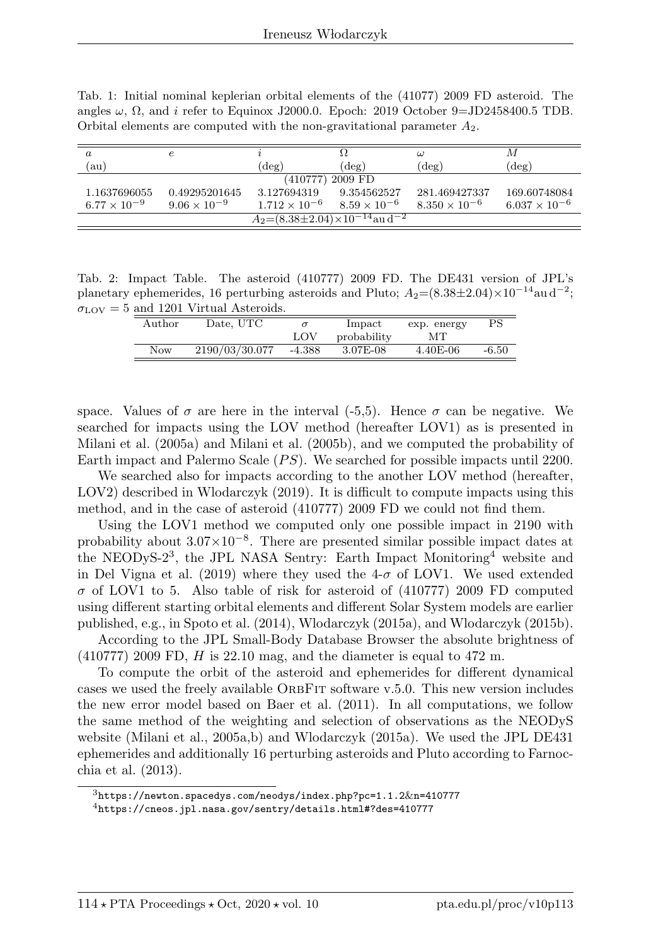Tab. 1: Initial nominal keplerian orbital elements of the (41077) 2009 FD asteroid. The angles  $\omega$ ,  $\Omega$ , and *i* refer to Equinox J2000.0. Epoch: 2019 October 9=JD2458400.5 TDB. Orbital elements are computed with the non-gravitational parameter  $A_2$ .

| $\boldsymbol{a}$                                     | е                     |                        |                       | $\omega$               | М                      |  |  |  |
|------------------------------------------------------|-----------------------|------------------------|-----------------------|------------------------|------------------------|--|--|--|
| (au'                                                 |                       | $(\deg)$               | $(\deg)$              | $(\deg)$               | $(\deg)$               |  |  |  |
| (410777) 2009 FD                                     |                       |                        |                       |                        |                        |  |  |  |
| 1.1637696055                                         | 0.49295201645         | 3.127694319            | 9.354562527           | 281.469427337          | 169.60748084           |  |  |  |
| $6.77 \times 10^{-9}$                                | $9.06 \times 10^{-9}$ | $1.712 \times 10^{-6}$ | $8.59 \times 10^{-6}$ | $8.350 \times 10^{-6}$ | $6.037 \times 10^{-6}$ |  |  |  |
| $A_2=(8.38\pm2.04)\times10^{-14}$ au d <sup>-2</sup> |                       |                        |                       |                        |                        |  |  |  |

Tab. 2: Impact Table. The asteroid (410777) 2009 FD. The DE431 version of JPL's planetary ephemerides, 16 perturbing asteroids and Pluto;  $A_2 = (8.38 \pm 2.04) \times 10^{-14}$ au d<sup>-2</sup>;  $\sigma_{\text{LOV}} = 5$  and 1201 Virtual Asteroids.

| Author     | Date, UTC      |          | Impact      | exp. energy | PS      |
|------------|----------------|----------|-------------|-------------|---------|
|            |                | LOV      | probability | ΜТ          |         |
| <b>Now</b> | 2190/03/30.077 | $-4.388$ | 3.07E-08    | $4.40E-06$  | $-6.50$ |

space. Values of  $\sigma$  are here in the interval (-5,5). Hence  $\sigma$  can be negative. We searched for impacts using the LOV method (hereafter LOV1) as is presented in Milani et al. (2005a) and Milani et al. (2005b), and we computed the probability of Earth impact and Palermo Scale  $(PS)$ . We searched for possible impacts until 2200.

We searched also for impacts according to the another LOV method (hereafter, LOV2) described in Wlodarczyk (2019). It is difficult to compute impacts using this method, and in the case of asteroid (410777) 2009 FD we could not find them.

Using the LOV1 method we computed only one possible impact in 2190 with probability about  $3.07 \times 10^{-8}$ . There are presented similar possible impact dates at the NEODyS-2<sup>3</sup>, the JPL NASA Sentry: Earth Impact Monitoring<sup>4</sup> website and in Del Vigna et al. (2019) where they used the  $4-\sigma$  of LOV1. We used extended  $\sigma$  of LOV1 to 5. Also table of risk for asteroid of (410777) 2009 FD computed using different starting orbital elements and different Solar System models are earlier published, e.g., in Spoto et al. (2014), Wlodarczyk (2015a), and Wlodarczyk (2015b).

According to the JPL Small-Body Database Browser the absolute brightness of  $(410777)$  2009 FD, H is 22.10 mag, and the diameter is equal to 472 m.

To compute the orbit of the asteroid and ephemerides for different dynamical cases we used the freely available ORBFIT software v.5.0. This new version includes the new error model based on Baer et al. (2011). In all computations, we follow the same method of the weighting and selection of observations as the NEODyS website (Milani et al., 2005a,b) and Wlodarczyk (2015a). We used the JPL DE431 ephemerides and additionally 16 perturbing asteroids and Pluto according to Farnocchia et al. (2013).

 $^3$ https://newton.spacedys.com/neodys/index.php?pc=1.1.2&n=410777

<sup>4</sup>https://cneos.jpl.nasa.gov/sentry/details.html#?des=410777